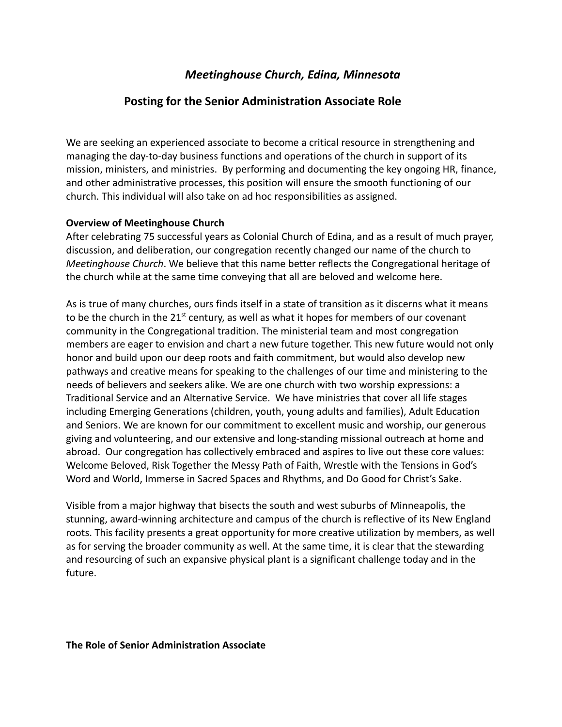# *Meetinghouse Church, Edina, Minnesota*

## **Posting for the Senior Administration Associate Role**

We are seeking an experienced associate to become a critical resource in strengthening and managing the day-to-day business functions and operations of the church in support of its mission, ministers, and ministries. By performing and documenting the key ongoing HR, finance, and other administrative processes, this position will ensure the smooth functioning of our church. This individual will also take on ad hoc responsibilities as assigned.

#### **Overview of Meetinghouse Church**

After celebrating 75 successful years as Colonial Church of Edina, and as a result of much prayer, discussion, and deliberation, our congregation recently changed our name of the church to *Meetinghouse Church*. We believe that this name better reflects the Congregational heritage of the church while at the same time conveying that all are beloved and welcome here.

As is true of many churches, ours finds itself in a state of transition as it discerns what it means to be the church in the  $21<sup>st</sup>$  century, as well as what it hopes for members of our covenant community in the Congregational tradition. The ministerial team and most congregation members are eager to envision and chart a new future together. This new future would not only honor and build upon our deep roots and faith commitment, but would also develop new pathways and creative means for speaking to the challenges of our time and ministering to the needs of believers and seekers alike. We are one church with two worship expressions: a Traditional Service and an Alternative Service. We have ministries that cover all life stages including Emerging Generations (children, youth, young adults and families), Adult Education and Seniors. We are known for our commitment to excellent music and worship, our generous giving and volunteering, and our extensive and long-standing missional outreach at home and abroad. Our congregation has collectively embraced and aspires to live out these core values: Welcome Beloved, Risk Together the Messy Path of Faith, Wrestle with the Tensions in God's Word and World, Immerse in Sacred Spaces and Rhythms, and Do Good for Christ's Sake.

Visible from a major highway that bisects the south and west suburbs of Minneapolis, the stunning, award-winning architecture and campus of the church is reflective of its New England roots. This facility presents a great opportunity for more creative utilization by members, as well as for serving the broader community as well. At the same time, it is clear that the stewarding and resourcing of such an expansive physical plant is a significant challenge today and in the future.

**The Role of Senior Administration Associate**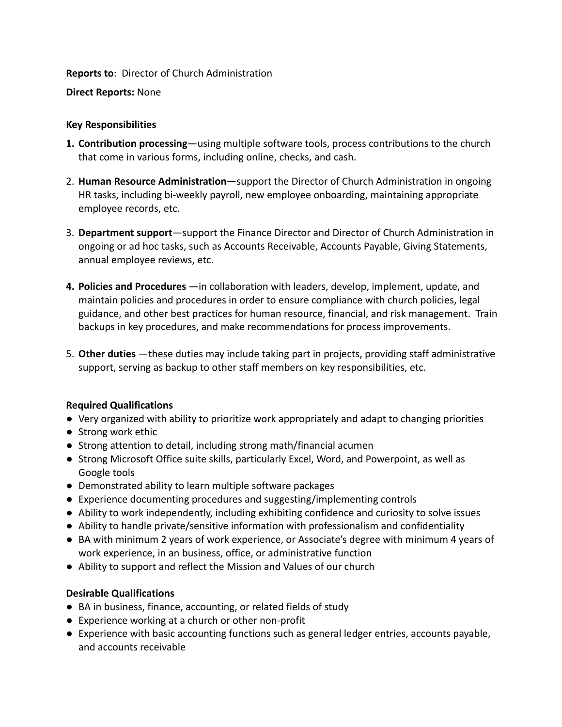#### **Reports to**: Director of Church Administration

#### **Direct Reports:** None

### **Key Responsibilities**

- **1. Contribution processing**—using multiple software tools, process contributions to the church that come in various forms, including online, checks, and cash.
- 2. **Human Resource Administration**—support the Director of Church Administration in ongoing HR tasks, including bi-weekly payroll, new employee onboarding, maintaining appropriate employee records, etc.
- 3. **Department support**—support the Finance Director and Director of Church Administration in ongoing or ad hoc tasks, such as Accounts Receivable, Accounts Payable, Giving Statements, annual employee reviews, etc.
- **4. Policies and Procedures** —in collaboration with leaders, develop, implement, update, and maintain policies and procedures in order to ensure compliance with church policies, legal guidance, and other best practices for human resource, financial, and risk management. Train backups in key procedures, and make recommendations for process improvements.
- 5. **Other duties** —these duties may include taking part in projects, providing staff administrative support, serving as backup to other staff members on key responsibilities, etc.

## **Required Qualifications**

- Very organized with ability to prioritize work appropriately and adapt to changing priorities
- Strong work ethic
- Strong attention to detail, including strong math/financial acumen
- Strong Microsoft Office suite skills, particularly Excel, Word, and Powerpoint, as well as Google tools
- Demonstrated ability to learn multiple software packages
- Experience documenting procedures and suggesting/implementing controls
- Ability to work independently, including exhibiting confidence and curiosity to solve issues
- Ability to handle private/sensitive information with professionalism and confidentiality
- BA with minimum 2 years of work experience, or Associate's degree with minimum 4 years of work experience, in an business, office, or administrative function
- Ability to support and reflect the Mission and Values of our church

## **Desirable Qualifications**

- BA in business, finance, accounting, or related fields of study
- Experience working at a church or other non-profit
- Experience with basic accounting functions such as general ledger entries, accounts payable, and accounts receivable